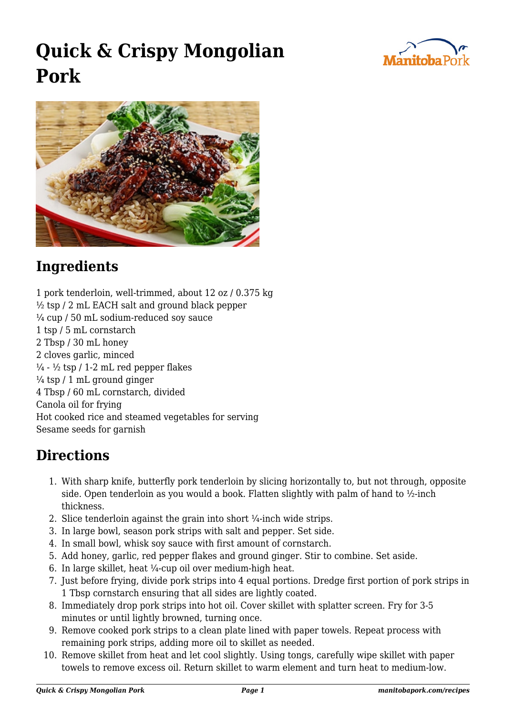

## **Quick & Crispy Mongolian Pork**



## **Ingredients**

1 pork tenderloin, well-trimmed, about 12 oz / 0.375 kg  $\frac{1}{2}$  tsp / 2 mL EACH salt and ground black pepper  $\frac{1}{4}$  cup / 50 mL sodium-reduced soy sauce 1 tsp / 5 mL cornstarch 2 Tbsp / 30 mL honey 2 cloves garlic, minced  $\frac{1}{4}$  -  $\frac{1}{2}$  tsp / 1-2 mL red pepper flakes  $\frac{1}{4}$  tsp / 1 mL ground ginger 4 Tbsp / 60 mL cornstarch, divided Canola oil for frying Hot cooked rice and steamed vegetables for serving Sesame seeds for garnish

## **Directions**

- 1. With sharp knife, butterfly pork tenderloin by slicing horizontally to, but not through, opposite side. Open tenderloin as you would a book. Flatten slightly with palm of hand to  $\frac{1}{2}$ -inch thickness.
- 2. Slice tenderloin against the grain into short  $\frac{1}{4}$ -inch wide strips.
- 3. In large bowl, season pork strips with salt and pepper. Set side.
- 4. In small bowl, whisk soy sauce with first amount of cornstarch.
- 5. Add honey, garlic, red pepper flakes and ground ginger. Stir to combine. Set aside.
- 6. In large skillet, heat  $\frac{1}{4}$ -cup oil over medium-high heat.
- 7. Just before frying, divide pork strips into 4 equal portions. Dredge first portion of pork strips in 1 Tbsp cornstarch ensuring that all sides are lightly coated.
- 8. Immediately drop pork strips into hot oil. Cover skillet with splatter screen. Fry for 3-5 minutes or until lightly browned, turning once.
- 9. Remove cooked pork strips to a clean plate lined with paper towels. Repeat process with remaining pork strips, adding more oil to skillet as needed.
- 10. Remove skillet from heat and let cool slightly. Using tongs, carefully wipe skillet with paper towels to remove excess oil. Return skillet to warm element and turn heat to medium-low.